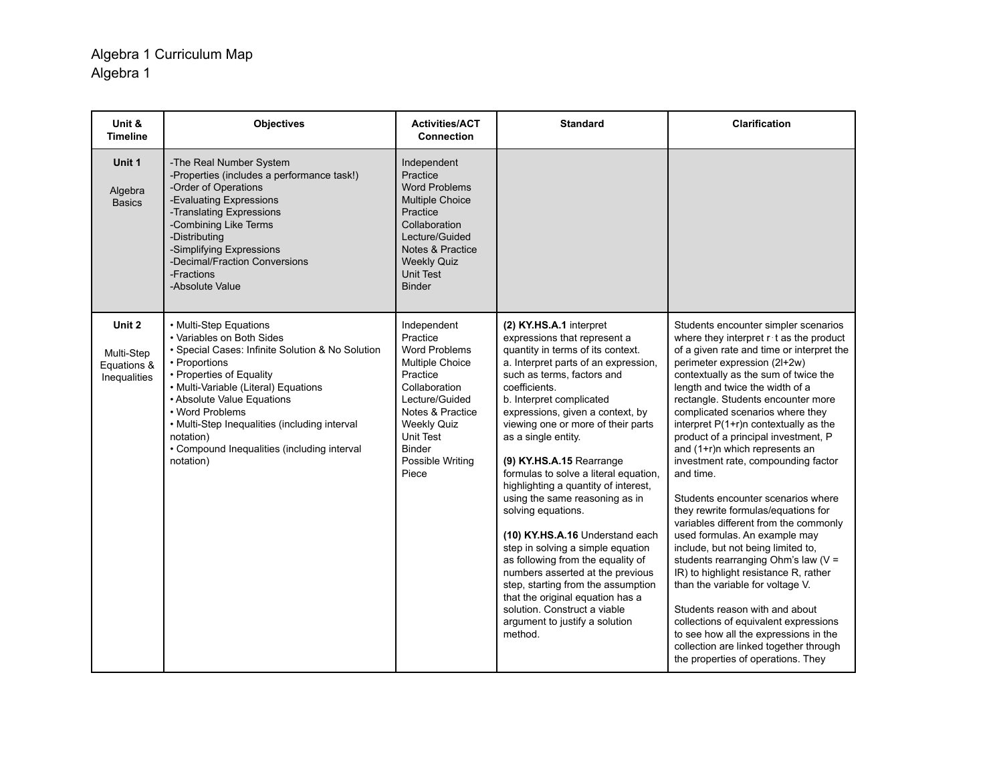| Unit &<br><b>Timeline</b>                           | <b>Objectives</b>                                                                                                                                                                                                                                                                                                                                                       | <b>Activities/ACT</b><br><b>Connection</b>                                                                                                                                                                      | <b>Standard</b>                                                                                                                                                                                                                                                                                                                                                                                                                                                                                                                                                                                                                                                                                                                                                                               | <b>Clarification</b>                                                                                                                                                                                                                                                                                                                                                                                                                                                                                                                                                                                                                                                                                                                                                                                                                                                                                                                                                                                                  |
|-----------------------------------------------------|-------------------------------------------------------------------------------------------------------------------------------------------------------------------------------------------------------------------------------------------------------------------------------------------------------------------------------------------------------------------------|-----------------------------------------------------------------------------------------------------------------------------------------------------------------------------------------------------------------|-----------------------------------------------------------------------------------------------------------------------------------------------------------------------------------------------------------------------------------------------------------------------------------------------------------------------------------------------------------------------------------------------------------------------------------------------------------------------------------------------------------------------------------------------------------------------------------------------------------------------------------------------------------------------------------------------------------------------------------------------------------------------------------------------|-----------------------------------------------------------------------------------------------------------------------------------------------------------------------------------------------------------------------------------------------------------------------------------------------------------------------------------------------------------------------------------------------------------------------------------------------------------------------------------------------------------------------------------------------------------------------------------------------------------------------------------------------------------------------------------------------------------------------------------------------------------------------------------------------------------------------------------------------------------------------------------------------------------------------------------------------------------------------------------------------------------------------|
| Unit 1<br>Algebra<br><b>Basics</b>                  | -The Real Number System<br>-Properties (includes a performance task!)<br>-Order of Operations<br>-Evaluating Expressions<br>-Translating Expressions<br>-Combining Like Terms<br>-Distributing<br>-Simplifying Expressions<br>-Decimal/Fraction Conversions<br>-Fractions<br>-Absolute Value                                                                            | Independent<br>Practice<br><b>Word Problems</b><br><b>Multiple Choice</b><br>Practice<br>Collaboration<br>Lecture/Guided<br>Notes & Practice<br><b>Weekly Quiz</b><br>Unit Test<br><b>Binder</b>                |                                                                                                                                                                                                                                                                                                                                                                                                                                                                                                                                                                                                                                                                                                                                                                                               |                                                                                                                                                                                                                                                                                                                                                                                                                                                                                                                                                                                                                                                                                                                                                                                                                                                                                                                                                                                                                       |
| Unit 2<br>Multi-Step<br>Equations &<br>Inequalities | • Multi-Step Equations<br>• Variables on Both Sides<br>• Special Cases: Infinite Solution & No Solution<br>• Proportions<br>• Properties of Equality<br>• Multi-Variable (Literal) Equations<br>• Absolute Value Equations<br>• Word Problems<br>• Multi-Step Inequalities (including interval<br>notation)<br>• Compound Inequalities (including interval<br>notation) | Independent<br>Practice<br><b>Word Problems</b><br>Multiple Choice<br>Practice<br>Collaboration<br>Lecture/Guided<br>Notes & Practice<br><b>Weekly Quiz</b><br>Unit Test<br>Binder<br>Possible Writing<br>Piece | (2) KY.HS.A.1 interpret<br>expressions that represent a<br>quantity in terms of its context.<br>a. Interpret parts of an expression,<br>such as terms, factors and<br>coefficients.<br>b. Interpret complicated<br>expressions, given a context, by<br>viewing one or more of their parts<br>as a single entity.<br>(9) KY.HS.A.15 Rearrange<br>formulas to solve a literal equation,<br>highlighting a quantity of interest,<br>using the same reasoning as in<br>solving equations.<br>(10) KY.HS.A.16 Understand each<br>step in solving a simple equation<br>as following from the equality of<br>numbers asserted at the previous<br>step, starting from the assumption<br>that the original equation has a<br>solution. Construct a viable<br>argument to justify a solution<br>method. | Students encounter simpler scenarios<br>where they interpret $r \cdot t$ as the product<br>of a given rate and time or interpret the<br>perimeter expression (2l+2w)<br>contextually as the sum of twice the<br>length and twice the width of a<br>rectangle. Students encounter more<br>complicated scenarios where they<br>interpret P(1+r)n contextually as the<br>product of a principal investment, P<br>and (1+r)n which represents an<br>investment rate, compounding factor<br>and time.<br>Students encounter scenarios where<br>they rewrite formulas/equations for<br>variables different from the commonly<br>used formulas. An example may<br>include, but not being limited to,<br>students rearranging Ohm's law (V =<br>IR) to highlight resistance R, rather<br>than the variable for voltage V.<br>Students reason with and about<br>collections of equivalent expressions<br>to see how all the expressions in the<br>collection are linked together through<br>the properties of operations. They |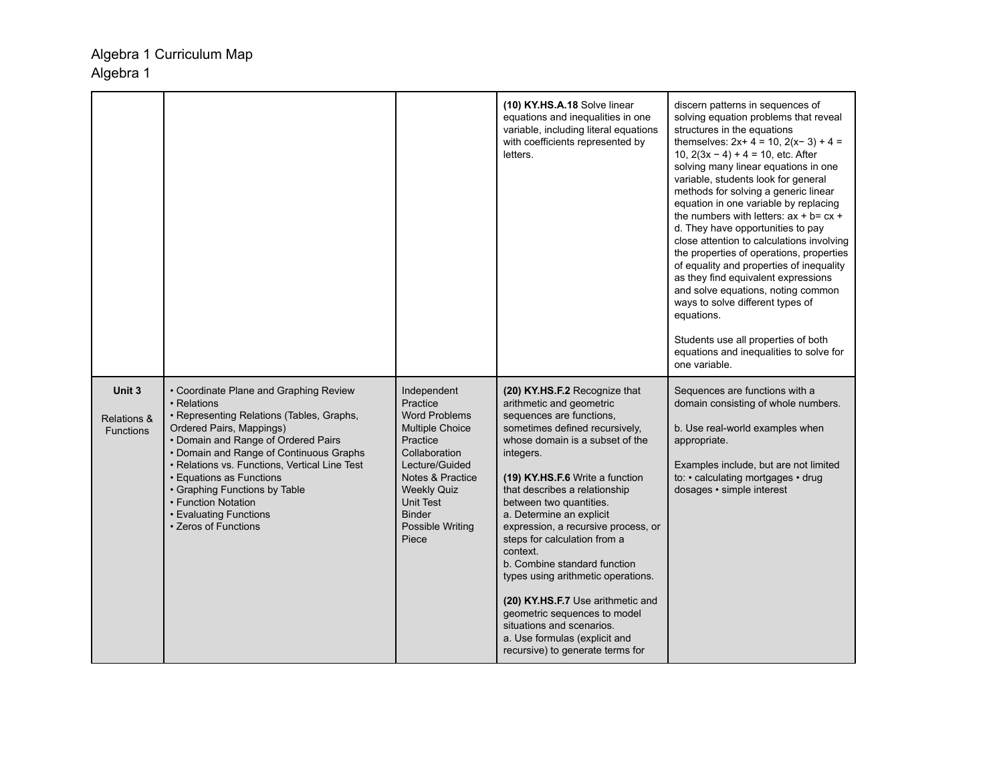|                                                      |                                                                                                                                                                                                                                                                                                                                                                                                         |                                                                                                                                                                                                                        | (10) KY.HS.A.18 Solve linear<br>equations and inequalities in one<br>variable, including literal equations<br>with coefficients represented by<br>letters.                                                                                                                                                                                                                                                                                                                                                                                                                                                                         | discern patterns in sequences of<br>solving equation problems that reveal<br>structures in the equations<br>themselves: $2x+4 = 10$ , $2(x-3) + 4 =$<br>10, $2(3x - 4) + 4 = 10$ , etc. After<br>solving many linear equations in one<br>variable, students look for general<br>methods for solving a generic linear<br>equation in one variable by replacing<br>the numbers with letters: $ax + b = cx +$<br>d. They have opportunities to pay<br>close attention to calculations involving<br>the properties of operations, properties<br>of equality and properties of inequality<br>as they find equivalent expressions<br>and solve equations, noting common<br>ways to solve different types of<br>equations.<br>Students use all properties of both<br>equations and inequalities to solve for<br>one variable. |
|------------------------------------------------------|---------------------------------------------------------------------------------------------------------------------------------------------------------------------------------------------------------------------------------------------------------------------------------------------------------------------------------------------------------------------------------------------------------|------------------------------------------------------------------------------------------------------------------------------------------------------------------------------------------------------------------------|------------------------------------------------------------------------------------------------------------------------------------------------------------------------------------------------------------------------------------------------------------------------------------------------------------------------------------------------------------------------------------------------------------------------------------------------------------------------------------------------------------------------------------------------------------------------------------------------------------------------------------|------------------------------------------------------------------------------------------------------------------------------------------------------------------------------------------------------------------------------------------------------------------------------------------------------------------------------------------------------------------------------------------------------------------------------------------------------------------------------------------------------------------------------------------------------------------------------------------------------------------------------------------------------------------------------------------------------------------------------------------------------------------------------------------------------------------------|
| Unit 3<br><b>Relations &amp;</b><br><b>Functions</b> | • Coordinate Plane and Graphing Review<br>• Relations<br>• Representing Relations (Tables, Graphs,<br>Ordered Pairs, Mappings)<br>• Domain and Range of Ordered Pairs<br>• Domain and Range of Continuous Graphs<br>• Relations vs. Functions, Vertical Line Test<br>• Equations as Functions<br>• Graphing Functions by Table<br>• Function Notation<br>• Evaluating Functions<br>• Zeros of Functions | Independent<br>Practice<br><b>Word Problems</b><br>Multiple Choice<br>Practice<br>Collaboration<br>Lecture/Guided<br>Notes & Practice<br><b>Weekly Quiz</b><br>Unit Test<br><b>Binder</b><br>Possible Writing<br>Piece | (20) KY.HS.F.2 Recognize that<br>arithmetic and geometric<br>sequences are functions.<br>sometimes defined recursively.<br>whose domain is a subset of the<br>integers.<br>(19) KY.HS.F.6 Write a function<br>that describes a relationship<br>between two quantities.<br>a. Determine an explicit<br>expression, a recursive process, or<br>steps for calculation from a<br>context.<br>b. Combine standard function<br>types using arithmetic operations.<br>(20) KY.HS.F.7 Use arithmetic and<br>geometric sequences to model<br>situations and scenarios.<br>a. Use formulas (explicit and<br>recursive) to generate terms for | Sequences are functions with a<br>domain consisting of whole numbers.<br>b. Use real-world examples when<br>appropriate.<br>Examples include, but are not limited<br>to: • calculating mortgages • drug<br>dosages · simple interest                                                                                                                                                                                                                                                                                                                                                                                                                                                                                                                                                                                   |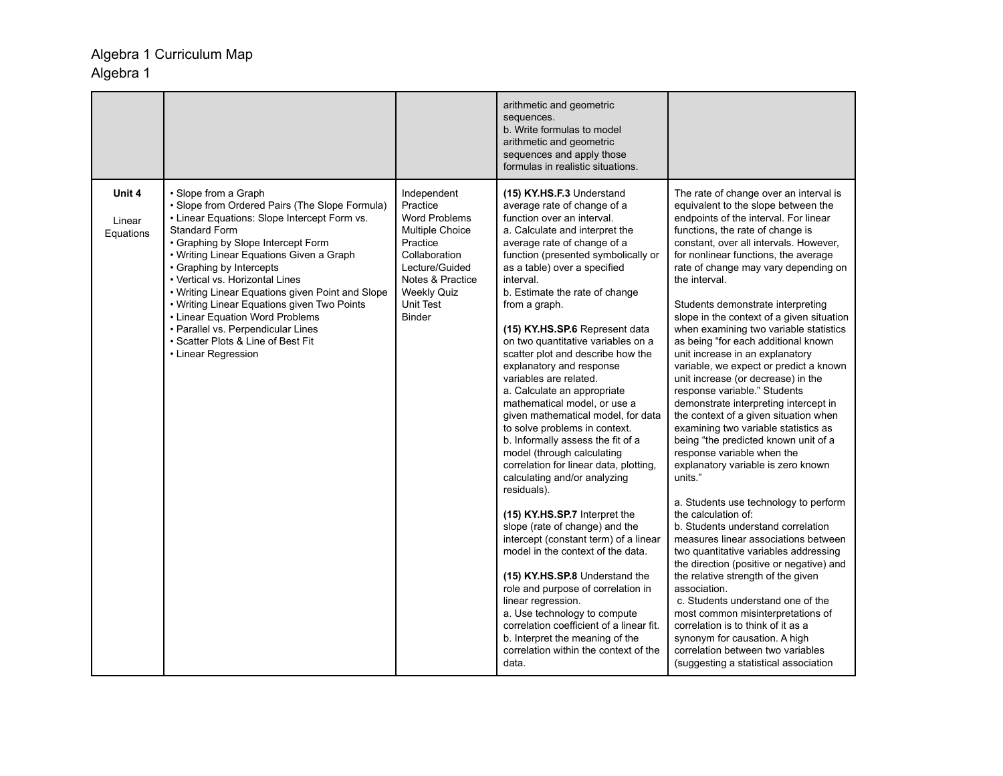|                               |                                                                                                                                                                                                                                                                                                                                                                                                                                                                                                                                          |                                                                                                                                                                                                  | arithmetic and geometric<br>sequences.<br>b. Write formulas to model<br>arithmetic and geometric<br>sequences and apply those<br>formulas in realistic situations.                                                                                                                                                                                                                                                                                                                                                                                                                                                                                                                                                                                                                                                                                                                                                                                                                                                                                                                                                                                                                  |                                                                                                                                                                                                                                                                                                                                                                                                                                                                                                                                                                                                                                                                                                                                                                                                                                                                                                                                                                                                                                                                                                                                                                                                                                                                                                                                                                                                      |
|-------------------------------|------------------------------------------------------------------------------------------------------------------------------------------------------------------------------------------------------------------------------------------------------------------------------------------------------------------------------------------------------------------------------------------------------------------------------------------------------------------------------------------------------------------------------------------|--------------------------------------------------------------------------------------------------------------------------------------------------------------------------------------------------|-------------------------------------------------------------------------------------------------------------------------------------------------------------------------------------------------------------------------------------------------------------------------------------------------------------------------------------------------------------------------------------------------------------------------------------------------------------------------------------------------------------------------------------------------------------------------------------------------------------------------------------------------------------------------------------------------------------------------------------------------------------------------------------------------------------------------------------------------------------------------------------------------------------------------------------------------------------------------------------------------------------------------------------------------------------------------------------------------------------------------------------------------------------------------------------|------------------------------------------------------------------------------------------------------------------------------------------------------------------------------------------------------------------------------------------------------------------------------------------------------------------------------------------------------------------------------------------------------------------------------------------------------------------------------------------------------------------------------------------------------------------------------------------------------------------------------------------------------------------------------------------------------------------------------------------------------------------------------------------------------------------------------------------------------------------------------------------------------------------------------------------------------------------------------------------------------------------------------------------------------------------------------------------------------------------------------------------------------------------------------------------------------------------------------------------------------------------------------------------------------------------------------------------------------------------------------------------------------|
| Unit 4<br>Linear<br>Equations | • Slope from a Graph<br>· Slope from Ordered Pairs (The Slope Formula)<br>• Linear Equations: Slope Intercept Form vs.<br><b>Standard Form</b><br>• Graphing by Slope Intercept Form<br>• Writing Linear Equations Given a Graph<br>• Graphing by Intercepts<br>• Vertical vs. Horizontal Lines<br>• Writing Linear Equations given Point and Slope<br>• Writing Linear Equations given Two Points<br>• Linear Equation Word Problems<br>• Parallel vs. Perpendicular Lines<br>• Scatter Plots & Line of Best Fit<br>• Linear Regression | Independent<br>Practice<br><b>Word Problems</b><br><b>Multiple Choice</b><br>Practice<br>Collaboration<br>Lecture/Guided<br>Notes & Practice<br><b>Weekly Quiz</b><br>Unit Test<br><b>Binder</b> | (15) KY.HS.F.3 Understand<br>average rate of change of a<br>function over an interval.<br>a. Calculate and interpret the<br>average rate of change of a<br>function (presented symbolically or<br>as a table) over a specified<br>interval.<br>b. Estimate the rate of change<br>from a graph.<br>(15) KY.HS.SP.6 Represent data<br>on two quantitative variables on a<br>scatter plot and describe how the<br>explanatory and response<br>variables are related.<br>a. Calculate an appropriate<br>mathematical model, or use a<br>given mathematical model, for data<br>to solve problems in context.<br>b. Informally assess the fit of a<br>model (through calculating<br>correlation for linear data, plotting,<br>calculating and/or analyzing<br>residuals).<br>(15) KY.HS.SP.7 Interpret the<br>slope (rate of change) and the<br>intercept (constant term) of a linear<br>model in the context of the data.<br>(15) KY.HS.SP.8 Understand the<br>role and purpose of correlation in<br>linear regression.<br>a. Use technology to compute<br>correlation coefficient of a linear fit.<br>b. Interpret the meaning of the<br>correlation within the context of the<br>data. | The rate of change over an interval is<br>equivalent to the slope between the<br>endpoints of the interval. For linear<br>functions, the rate of change is<br>constant, over all intervals. However,<br>for nonlinear functions, the average<br>rate of change may vary depending on<br>the interval.<br>Students demonstrate interpreting<br>slope in the context of a given situation<br>when examining two variable statistics<br>as being "for each additional known<br>unit increase in an explanatory<br>variable, we expect or predict a known<br>unit increase (or decrease) in the<br>response variable." Students<br>demonstrate interpreting intercept in<br>the context of a given situation when<br>examining two variable statistics as<br>being "the predicted known unit of a<br>response variable when the<br>explanatory variable is zero known<br>units."<br>a. Students use technology to perform<br>the calculation of:<br>b. Students understand correlation<br>measures linear associations between<br>two quantitative variables addressing<br>the direction (positive or negative) and<br>the relative strength of the given<br>association.<br>c. Students understand one of the<br>most common misinterpretations of<br>correlation is to think of it as a<br>synonym for causation. A high<br>correlation between two variables<br>(suggesting a statistical association |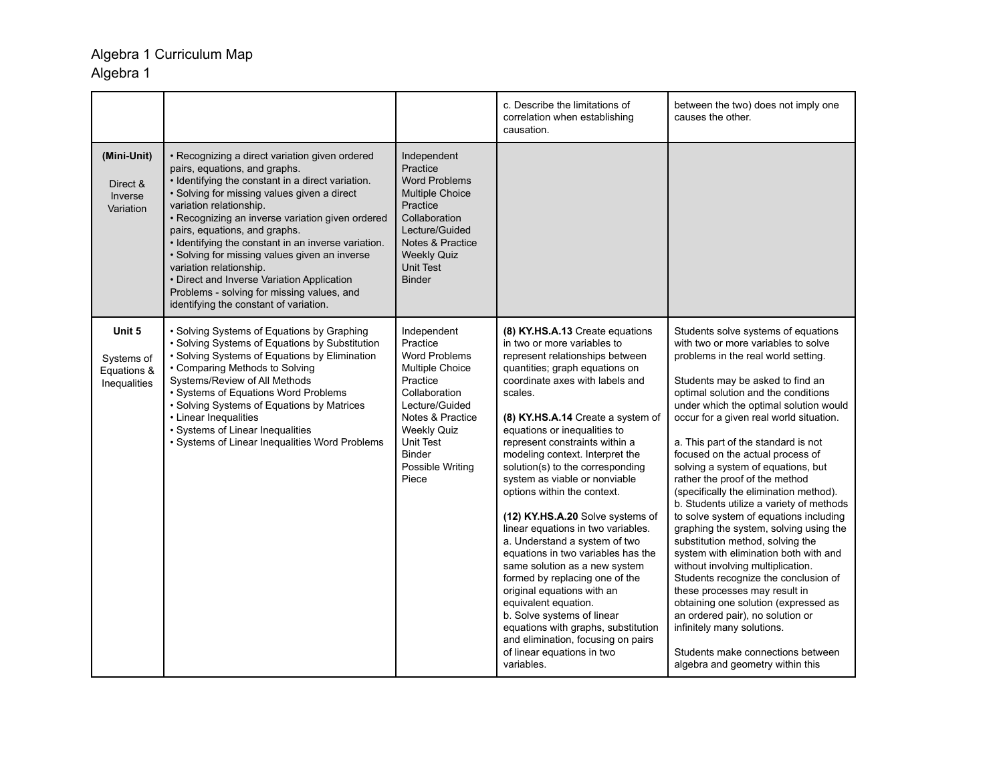# Algebra 1 Curriculum Map

## Algebra 1

|                                                     |                                                                                                                                                                                                                                                                                                                                                                                                                                                                                                                                                                              |                                                                                                                                                                                                                        | c. Describe the limitations of<br>correlation when establishing<br>causation.                                                                                                                                                                                                                                                                                                                                                                                                                                                                                                                                                                                                                                                                                                                                                                                    | between the two) does not imply one<br>causes the other.                                                                                                                                                                                                                                                                                                                                                                                                                                                                                                                                                                                                                                                                                                                                                                                                                                                                                                                                     |
|-----------------------------------------------------|------------------------------------------------------------------------------------------------------------------------------------------------------------------------------------------------------------------------------------------------------------------------------------------------------------------------------------------------------------------------------------------------------------------------------------------------------------------------------------------------------------------------------------------------------------------------------|------------------------------------------------------------------------------------------------------------------------------------------------------------------------------------------------------------------------|------------------------------------------------------------------------------------------------------------------------------------------------------------------------------------------------------------------------------------------------------------------------------------------------------------------------------------------------------------------------------------------------------------------------------------------------------------------------------------------------------------------------------------------------------------------------------------------------------------------------------------------------------------------------------------------------------------------------------------------------------------------------------------------------------------------------------------------------------------------|----------------------------------------------------------------------------------------------------------------------------------------------------------------------------------------------------------------------------------------------------------------------------------------------------------------------------------------------------------------------------------------------------------------------------------------------------------------------------------------------------------------------------------------------------------------------------------------------------------------------------------------------------------------------------------------------------------------------------------------------------------------------------------------------------------------------------------------------------------------------------------------------------------------------------------------------------------------------------------------------|
| (Mini-Unit)<br>Direct &<br>Inverse<br>Variation     | • Recognizing a direct variation given ordered<br>pairs, equations, and graphs.<br>· Identifying the constant in a direct variation.<br>• Solving for missing values given a direct<br>variation relationship.<br>· Recognizing an inverse variation given ordered<br>pairs, equations, and graphs.<br>· Identifying the constant in an inverse variation.<br>· Solving for missing values given an inverse<br>variation relationship.<br>• Direct and Inverse Variation Application<br>Problems - solving for missing values, and<br>identifying the constant of variation. | Independent<br>Practice<br><b>Word Problems</b><br><b>Multiple Choice</b><br>Practice<br>Collaboration<br>Lecture/Guided<br>Notes & Practice<br><b>Weekly Quiz</b><br><b>Unit Test</b><br><b>Binder</b>                |                                                                                                                                                                                                                                                                                                                                                                                                                                                                                                                                                                                                                                                                                                                                                                                                                                                                  |                                                                                                                                                                                                                                                                                                                                                                                                                                                                                                                                                                                                                                                                                                                                                                                                                                                                                                                                                                                              |
| Unit 5<br>Systems of<br>Equations &<br>Inequalities | • Solving Systems of Equations by Graphing<br>• Solving Systems of Equations by Substitution<br>• Solving Systems of Equations by Elimination<br>• Comparing Methods to Solving<br>Systems/Review of All Methods<br>• Systems of Equations Word Problems<br>• Solving Systems of Equations by Matrices<br>• Linear Inequalities<br>• Systems of Linear Inequalities<br>· Systems of Linear Inequalities Word Problems                                                                                                                                                        | Independent<br>Practice<br>Word Problems<br>Multiple Choice<br>Practice<br>Collaboration<br>Lecture/Guided<br>Notes & Practice<br><b>Weekly Quiz</b><br><b>Unit Test</b><br><b>Binder</b><br>Possible Writing<br>Piece | (8) KY.HS.A.13 Create equations<br>in two or more variables to<br>represent relationships between<br>quantities; graph equations on<br>coordinate axes with labels and<br>scales.<br>(8) KY.HS.A.14 Create a system of<br>equations or inequalities to<br>represent constraints within a<br>modeling context. Interpret the<br>solution(s) to the corresponding<br>system as viable or nonviable<br>options within the context.<br>(12) KY.HS.A.20 Solve systems of<br>linear equations in two variables.<br>a. Understand a system of two<br>equations in two variables has the<br>same solution as a new system<br>formed by replacing one of the<br>original equations with an<br>equivalent equation.<br>b. Solve systems of linear<br>equations with graphs, substitution<br>and elimination, focusing on pairs<br>of linear equations in two<br>variables. | Students solve systems of equations<br>with two or more variables to solve<br>problems in the real world setting.<br>Students may be asked to find an<br>optimal solution and the conditions<br>under which the optimal solution would<br>occur for a given real world situation.<br>a. This part of the standard is not<br>focused on the actual process of<br>solving a system of equations, but<br>rather the proof of the method<br>(specifically the elimination method).<br>b. Students utilize a variety of methods<br>to solve system of equations including<br>graphing the system, solving using the<br>substitution method, solving the<br>system with elimination both with and<br>without involving multiplication.<br>Students recognize the conclusion of<br>these processes may result in<br>obtaining one solution (expressed as<br>an ordered pair), no solution or<br>infinitely many solutions.<br>Students make connections between<br>algebra and geometry within this |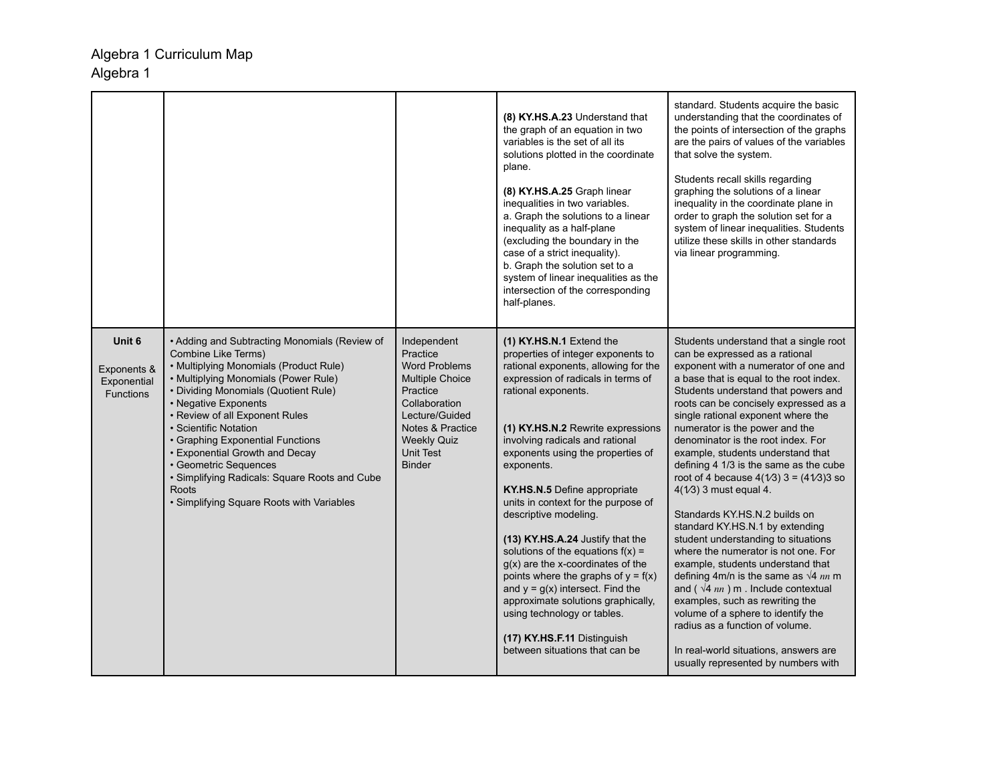|                                                          |                                                                                                                                                                                                                                                                                                                                                                                                                                                                                         |                                                                                                                                                                                                         | (8) KY.HS.A.23 Understand that<br>the graph of an equation in two<br>variables is the set of all its<br>solutions plotted in the coordinate<br>plane.<br>(8) KY.HS.A.25 Graph linear<br>inequalities in two variables.<br>a. Graph the solutions to a linear<br>inequality as a half-plane<br>(excluding the boundary in the<br>case of a strict inequality).<br>b. Graph the solution set to a<br>system of linear inequalities as the<br>intersection of the corresponding<br>half-planes.                                                                                                                                                                                                                                          | standard. Students acquire the basic<br>understanding that the coordinates of<br>the points of intersection of the graphs<br>are the pairs of values of the variables<br>that solve the system.<br>Students recall skills regarding<br>graphing the solutions of a linear<br>inequality in the coordinate plane in<br>order to graph the solution set for a<br>system of linear inequalities. Students<br>utilize these skills in other standards<br>via linear programming.                                                                                                                                                                                                                                                                                                                                                                                                                                                                                                                          |
|----------------------------------------------------------|-----------------------------------------------------------------------------------------------------------------------------------------------------------------------------------------------------------------------------------------------------------------------------------------------------------------------------------------------------------------------------------------------------------------------------------------------------------------------------------------|---------------------------------------------------------------------------------------------------------------------------------------------------------------------------------------------------------|---------------------------------------------------------------------------------------------------------------------------------------------------------------------------------------------------------------------------------------------------------------------------------------------------------------------------------------------------------------------------------------------------------------------------------------------------------------------------------------------------------------------------------------------------------------------------------------------------------------------------------------------------------------------------------------------------------------------------------------|-------------------------------------------------------------------------------------------------------------------------------------------------------------------------------------------------------------------------------------------------------------------------------------------------------------------------------------------------------------------------------------------------------------------------------------------------------------------------------------------------------------------------------------------------------------------------------------------------------------------------------------------------------------------------------------------------------------------------------------------------------------------------------------------------------------------------------------------------------------------------------------------------------------------------------------------------------------------------------------------------------|
| Unit 6<br>Exponents &<br>Exponential<br><b>Functions</b> | • Adding and Subtracting Monomials (Review of<br>Combine Like Terms)<br>• Multiplying Monomials (Product Rule)<br>• Multiplying Monomials (Power Rule)<br>• Dividing Monomials (Quotient Rule)<br>• Negative Exponents<br>• Review of all Exponent Rules<br>· Scientific Notation<br>• Graphing Exponential Functions<br>• Exponential Growth and Decay<br>· Geometric Sequences<br>· Simplifying Radicals: Square Roots and Cube<br>Roots<br>· Simplifying Square Roots with Variables | Independent<br>Practice<br><b>Word Problems</b><br><b>Multiple Choice</b><br>Practice<br>Collaboration<br>Lecture/Guided<br>Notes & Practice<br><b>Weekly Quiz</b><br><b>Unit Test</b><br><b>Binder</b> | (1) KY.HS.N.1 Extend the<br>properties of integer exponents to<br>rational exponents, allowing for the<br>expression of radicals in terms of<br>rational exponents.<br>(1) KY.HS.N.2 Rewrite expressions<br>involving radicals and rational<br>exponents using the properties of<br>exponents.<br>KY.HS.N.5 Define appropriate<br>units in context for the purpose of<br>descriptive modeling.<br>(13) KY.HS.A.24 Justify that the<br>solutions of the equations $f(x) =$<br>$q(x)$ are the x-coordinates of the<br>points where the graphs of $y = f(x)$<br>and $y = g(x)$ intersect. Find the<br>approximate solutions graphically,<br>using technology or tables.<br>(17) KY.HS.F.11 Distinguish<br>between situations that can be | Students understand that a single root<br>can be expressed as a rational<br>exponent with a numerator of one and<br>a base that is equal to the root index.<br>Students understand that powers and<br>roots can be concisely expressed as a<br>single rational exponent where the<br>numerator is the power and the<br>denominator is the root index. For<br>example, students understand that<br>defining 4 1/3 is the same as the cube<br>root of 4 because $4(1/3)$ 3 = $(41/3)$ 3 so<br>$4(1/3)$ 3 must equal 4.<br>Standards KY.HS.N.2 builds on<br>standard KY.HS.N.1 by extending<br>student understanding to situations<br>where the numerator is not one. For<br>example, students understand that<br>defining 4m/n is the same as $\sqrt{4}$ nn m<br>and ( $\sqrt{4}$ nn) m. Include contextual<br>examples, such as rewriting the<br>volume of a sphere to identify the<br>radius as a function of volume.<br>In real-world situations, answers are<br>usually represented by numbers with |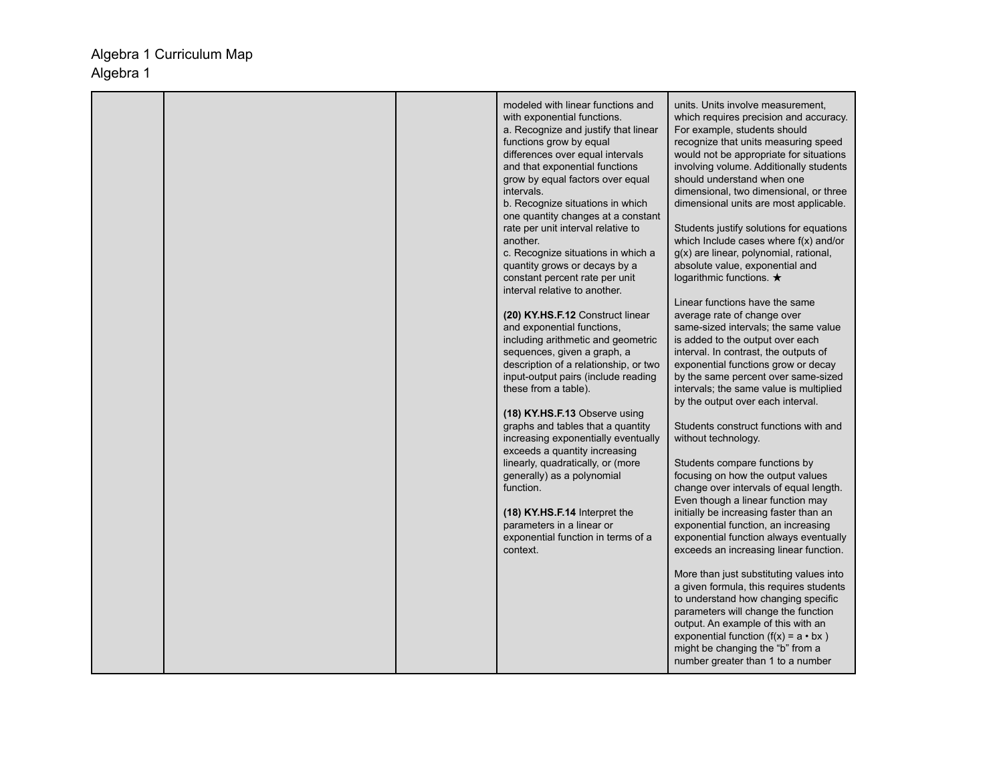|  | modeled with linear functions and<br>with exponential functions.<br>a. Recognize and justify that linear<br>functions grow by equal<br>differences over equal intervals<br>and that exponential functions<br>grow by equal factors over equal<br>intervals.<br>b. Recognize situations in which<br>one quantity changes at a constant<br>rate per unit interval relative to<br>another.<br>c. Recognize situations in which a<br>quantity grows or decays by a<br>constant percent rate per unit<br>interval relative to another.<br>(20) KY.HS.F.12 Construct linear<br>and exponential functions,<br>including arithmetic and geometric<br>sequences, given a graph, a<br>description of a relationship, or two<br>input-output pairs (include reading<br>these from a table).<br>(18) KY.HS.F.13 Observe using<br>graphs and tables that a quantity<br>increasing exponentially eventually<br>exceeds a quantity increasing<br>linearly, quadratically, or (more<br>generally) as a polynomial<br>function.<br>(18) KY.HS.F.14 Interpret the<br>parameters in a linear or<br>exponential function in terms of a | units. Units involve measurement,<br>which requires precision and accuracy.<br>For example, students should<br>recognize that units measuring speed<br>would not be appropriate for situations<br>involving volume. Additionally students<br>should understand when one<br>dimensional, two dimensional, or three<br>dimensional units are most applicable.<br>Students justify solutions for equations<br>which Include cases where $f(x)$ and/or<br>g(x) are linear, polynomial, rational,<br>absolute value, exponential and<br>logarithmic functions. $\bigstar$<br>Linear functions have the same<br>average rate of change over<br>same-sized intervals; the same value<br>is added to the output over each<br>interval. In contrast, the outputs of<br>exponential functions grow or decay<br>by the same percent over same-sized<br>intervals; the same value is multiplied<br>by the output over each interval.<br>Students construct functions with and<br>without technology.<br>Students compare functions by<br>focusing on how the output values<br>change over intervals of equal length.<br>Even though a linear function may<br>initially be increasing faster than an<br>exponential function, an increasing<br>exponential function always eventually |
|--|--------------------------------------------------------------------------------------------------------------------------------------------------------------------------------------------------------------------------------------------------------------------------------------------------------------------------------------------------------------------------------------------------------------------------------------------------------------------------------------------------------------------------------------------------------------------------------------------------------------------------------------------------------------------------------------------------------------------------------------------------------------------------------------------------------------------------------------------------------------------------------------------------------------------------------------------------------------------------------------------------------------------------------------------------------------------------------------------------------------------|--------------------------------------------------------------------------------------------------------------------------------------------------------------------------------------------------------------------------------------------------------------------------------------------------------------------------------------------------------------------------------------------------------------------------------------------------------------------------------------------------------------------------------------------------------------------------------------------------------------------------------------------------------------------------------------------------------------------------------------------------------------------------------------------------------------------------------------------------------------------------------------------------------------------------------------------------------------------------------------------------------------------------------------------------------------------------------------------------------------------------------------------------------------------------------------------------------------------------------------------------------------------------|
|  | context.                                                                                                                                                                                                                                                                                                                                                                                                                                                                                                                                                                                                                                                                                                                                                                                                                                                                                                                                                                                                                                                                                                           | exceeds an increasing linear function.<br>More than just substituting values into<br>a given formula, this requires students<br>to understand how changing specific<br>parameters will change the function<br>output. An example of this with an<br>exponential function $(f(x) = a \cdot bx)$<br>might be changing the "b" from a<br>number greater than 1 to a number                                                                                                                                                                                                                                                                                                                                                                                                                                                                                                                                                                                                                                                                                                                                                                                                                                                                                                  |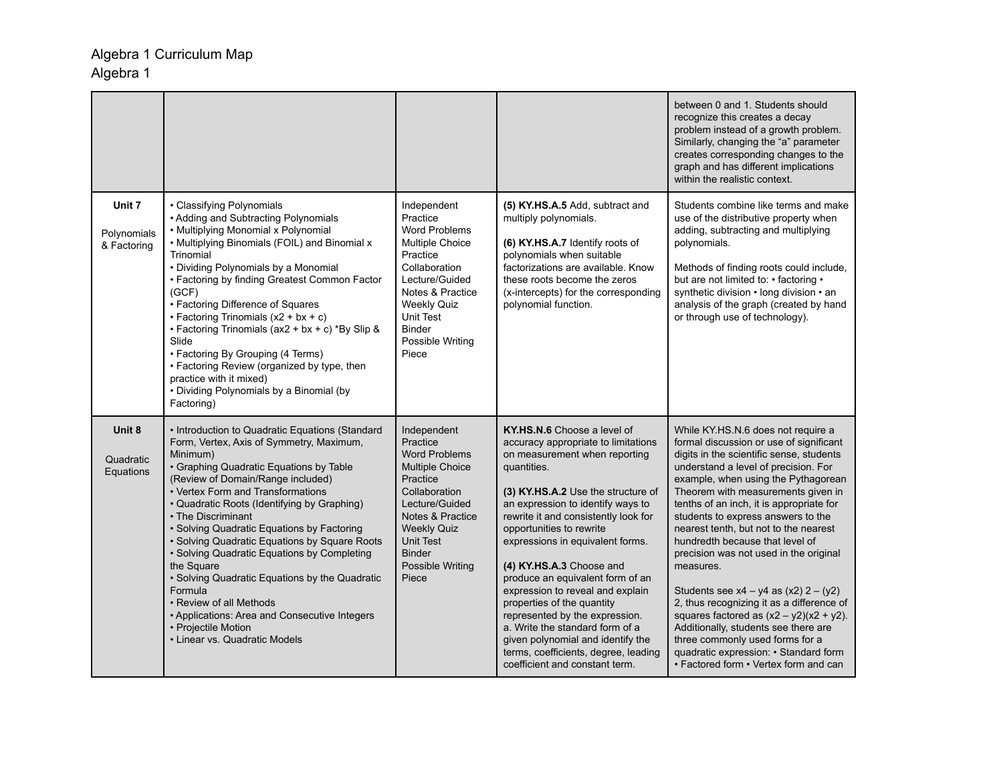|                                      |                                                                                                                                                                                                                                                                                                                                                                                                                                                                                                                                                                                                                                                                |                                                                                                                                                                                                                               |                                                                                                                                                                                                                                                                                                                                                                                                                                                                                                                                                                                                                             | between 0 and 1. Students should<br>recognize this creates a decay<br>problem instead of a growth problem.<br>Similarly, changing the "a" parameter<br>creates corresponding changes to the<br>graph and has different implications<br>within the realistic context.                                                                                                                                                                                                                                                                                                                                                                                                                                                                                                     |
|--------------------------------------|----------------------------------------------------------------------------------------------------------------------------------------------------------------------------------------------------------------------------------------------------------------------------------------------------------------------------------------------------------------------------------------------------------------------------------------------------------------------------------------------------------------------------------------------------------------------------------------------------------------------------------------------------------------|-------------------------------------------------------------------------------------------------------------------------------------------------------------------------------------------------------------------------------|-----------------------------------------------------------------------------------------------------------------------------------------------------------------------------------------------------------------------------------------------------------------------------------------------------------------------------------------------------------------------------------------------------------------------------------------------------------------------------------------------------------------------------------------------------------------------------------------------------------------------------|--------------------------------------------------------------------------------------------------------------------------------------------------------------------------------------------------------------------------------------------------------------------------------------------------------------------------------------------------------------------------------------------------------------------------------------------------------------------------------------------------------------------------------------------------------------------------------------------------------------------------------------------------------------------------------------------------------------------------------------------------------------------------|
| Unit 7<br>Polynomials<br>& Factoring | • Classifying Polynomials<br>• Adding and Subtracting Polynomials<br>• Multiplying Monomial x Polynomial<br>• Multiplying Binomials (FOIL) and Binomial x<br>Trinomial<br>• Dividing Polynomials by a Monomial<br>• Factoring by finding Greatest Common Factor<br>(GCF)<br>• Factoring Difference of Squares<br>• Factoring Trinomials $(x2 + bx + c)$<br>• Factoring Trinomials (ax2 + bx + c) *By Slip &<br>Slide<br>• Factoring By Grouping (4 Terms)<br>• Factoring Review (organized by type, then<br>practice with it mixed)<br>• Dividing Polynomials by a Binomial (by<br>Factoring)                                                                  | Independent<br>Practice<br><b>Word Problems</b><br>Multiple Choice<br>Practice<br>Collaboration<br>Lecture/Guided<br>Notes & Practice<br><b>Weekly Quiz</b><br>Unit Test<br><b>Binder</b><br>Possible Writing<br>Piece        | (5) KY.HS.A.5 Add, subtract and<br>multiply polynomials.<br>(6) KY.HS.A.7 Identify roots of<br>polynomials when suitable<br>factorizations are available. Know<br>these roots become the zeros<br>(x-intercepts) for the corresponding<br>polynomial function.                                                                                                                                                                                                                                                                                                                                                              | Students combine like terms and make<br>use of the distributive property when<br>adding, subtracting and multiplying<br>polynomials.<br>Methods of finding roots could include,<br>but are not limited to: • factoring •<br>synthetic division • long division • an<br>analysis of the graph (created by hand<br>or through use of technology).                                                                                                                                                                                                                                                                                                                                                                                                                          |
| Unit 8<br>Quadratic<br>Equations     | • Introduction to Quadratic Equations (Standard<br>Form, Vertex, Axis of Symmetry, Maximum,<br>Minimum)<br>• Graphing Quadratic Equations by Table<br>(Review of Domain/Range included)<br>• Vertex Form and Transformations<br>• Quadratic Roots (Identifying by Graphing)<br>• The Discriminant<br>• Solving Quadratic Equations by Factoring<br>• Solving Quadratic Equations by Square Roots<br>• Solving Quadratic Equations by Completing<br>the Square<br>• Solving Quadratic Equations by the Quadratic<br>Formula<br>• Review of all Methods<br>• Applications: Area and Consecutive Integers<br>• Projectile Motion<br>• Linear vs. Quadratic Models | Independent<br>Practice<br><b>Word Problems</b><br><b>Multiple Choice</b><br>Practice<br>Collaboration<br>Lecture/Guided<br>Notes & Practice<br><b>Weekly Quiz</b><br>Unit Test<br><b>Binder</b><br>Possible Writing<br>Piece | KY.HS.N.6 Choose a level of<br>accuracy appropriate to limitations<br>on measurement when reporting<br>quantities.<br>(3) KY.HS.A.2 Use the structure of<br>an expression to identify ways to<br>rewrite it and consistently look for<br>opportunities to rewrite<br>expressions in equivalent forms.<br>(4) KY.HS.A.3 Choose and<br>produce an equivalent form of an<br>expression to reveal and explain<br>properties of the quantity<br>represented by the expression.<br>a. Write the standard form of a<br>given polynomial and identify the<br>terms, coefficients, degree, leading<br>coefficient and constant term. | While KY.HS.N.6 does not require a<br>formal discussion or use of significant<br>digits in the scientific sense, students<br>understand a level of precision. For<br>example, when using the Pythagorean<br>Theorem with measurements given in<br>tenths of an inch, it is appropriate for<br>students to express answers to the<br>nearest tenth, but not to the nearest<br>hundredth because that level of<br>precision was not used in the original<br>measures.<br>Students see $x4 - y4$ as $(x2) 2 - (y2)$<br>2, thus recognizing it as a difference of<br>squares factored as $(x2 - y2)(x2 + y2)$ .<br>Additionally, students see there are<br>three commonly used forms for a<br>quadratic expression: • Standard form<br>• Factored form • Vertex form and can |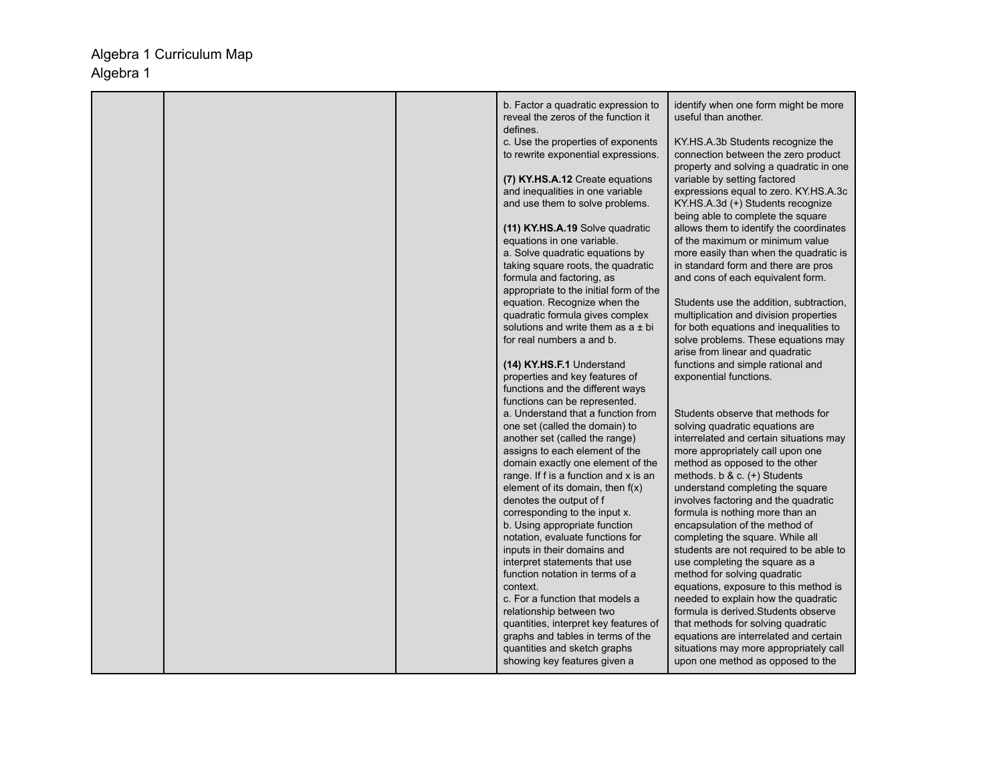|  | b. Factor a quadratic expression to                                                                       | identify when one form might be more                                                                                |
|--|-----------------------------------------------------------------------------------------------------------|---------------------------------------------------------------------------------------------------------------------|
|  | reveal the zeros of the function it<br>defines.                                                           | useful than another.                                                                                                |
|  | c. Use the properties of exponents<br>to rewrite exponential expressions.                                 | KY.HS.A.3b Students recognize the<br>connection between the zero product<br>property and solving a quadratic in one |
|  | (7) KY.HS.A.12 Create equations<br>and inequalities in one variable                                       | variable by setting factored<br>expressions equal to zero. KY.HS.A.3c                                               |
|  | and use them to solve problems.                                                                           | KY.HS.A.3d (+) Students recognize<br>being able to complete the square                                              |
|  | (11) KY.HS.A.19 Solve quadratic<br>equations in one variable.                                             | allows them to identify the coordinates<br>of the maximum or minimum value                                          |
|  | a. Solve quadratic equations by                                                                           | more easily than when the quadratic is                                                                              |
|  | taking square roots, the quadratic<br>formula and factoring, as<br>appropriate to the initial form of the | in standard form and there are pros<br>and cons of each equivalent form.                                            |
|  | equation. Recognize when the                                                                              | Students use the addition, subtraction,                                                                             |
|  | quadratic formula gives complex                                                                           | multiplication and division properties                                                                              |
|  | solutions and write them as $a \pm bi$<br>for real numbers a and b.                                       | for both equations and inequalities to<br>solve problems. These equations may                                       |
|  |                                                                                                           | arise from linear and quadratic                                                                                     |
|  | (14) KY.HS.F.1 Understand                                                                                 | functions and simple rational and                                                                                   |
|  | properties and key features of<br>functions and the different ways                                        | exponential functions.                                                                                              |
|  | functions can be represented.                                                                             |                                                                                                                     |
|  | a. Understand that a function from                                                                        | Students observe that methods for                                                                                   |
|  | one set (called the domain) to                                                                            | solving quadratic equations are                                                                                     |
|  | another set (called the range)<br>assigns to each element of the                                          | interrelated and certain situations may<br>more appropriately call upon one                                         |
|  | domain exactly one element of the                                                                         | method as opposed to the other                                                                                      |
|  | range. If f is a function and x is an                                                                     | methods. b & c. (+) Students                                                                                        |
|  | element of its domain, then $f(x)$                                                                        | understand completing the square                                                                                    |
|  | denotes the output of f<br>corresponding to the input x.                                                  | involves factoring and the quadratic<br>formula is nothing more than an                                             |
|  | b. Using appropriate function                                                                             | encapsulation of the method of                                                                                      |
|  | notation, evaluate functions for                                                                          | completing the square. While all                                                                                    |
|  | inputs in their domains and                                                                               | students are not required to be able to                                                                             |
|  | interpret statements that use<br>function notation in terms of a                                          | use completing the square as a<br>method for solving quadratic                                                      |
|  | context.                                                                                                  | equations, exposure to this method is                                                                               |
|  | c. For a function that models a                                                                           | needed to explain how the quadratic                                                                                 |
|  | relationship between two                                                                                  | formula is derived. Students observe                                                                                |
|  | quantities, interpret key features of<br>graphs and tables in terms of the                                | that methods for solving quadratic<br>equations are interrelated and certain                                        |
|  | quantities and sketch graphs                                                                              | situations may more appropriately call                                                                              |
|  | showing key features given a                                                                              | upon one method as opposed to the                                                                                   |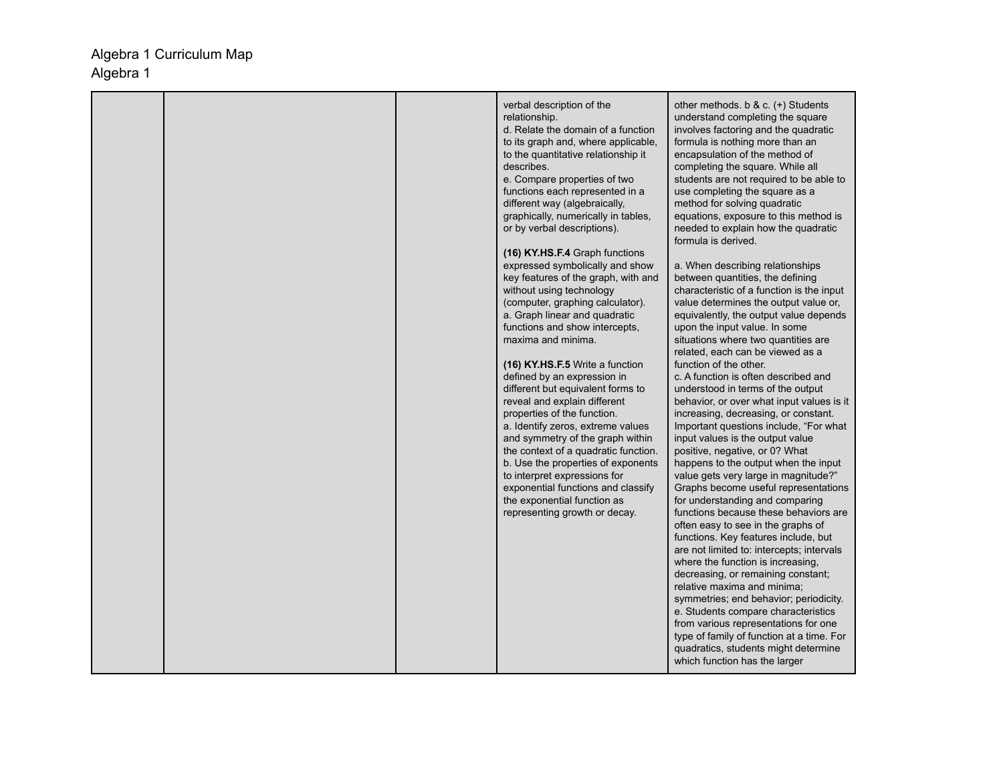|  | verbal description of the<br>relationship.<br>d. Relate the domain of a function<br>to its graph and, where applicable,<br>to the quantitative relationship it<br>describes.<br>e. Compare properties of two<br>functions each represented in a<br>different way (algebraically,<br>graphically, numerically in tables,<br>or by verbal descriptions).<br>(16) KY.HS.F.4 Graph functions<br>expressed symbolically and show<br>key features of the graph, with and<br>without using technology<br>(computer, graphing calculator).<br>a. Graph linear and quadratic<br>functions and show intercepts,<br>maxima and minima.<br>(16) KY.HS.F.5 Write a function<br>defined by an expression in<br>different but equivalent forms to<br>reveal and explain different<br>properties of the function.<br>a. Identify zeros, extreme values<br>and symmetry of the graph within<br>the context of a quadratic function.<br>b. Use the properties of exponents<br>to interpret expressions for<br>exponential functions and classify<br>the exponential function as<br>representing growth or decay. | other methods. b & c. $(+)$ Students<br>understand completing the square<br>involves factoring and the quadratic<br>formula is nothing more than an<br>encapsulation of the method of<br>completing the square. While all<br>students are not required to be able to<br>use completing the square as a<br>method for solving quadratic<br>equations, exposure to this method is<br>needed to explain how the quadratic<br>formula is derived.<br>a. When describing relationships<br>between quantities, the defining<br>characteristic of a function is the input<br>value determines the output value or,<br>equivalently, the output value depends<br>upon the input value. In some<br>situations where two quantities are<br>related, each can be viewed as a<br>function of the other.<br>c. A function is often described and<br>understood in terms of the output<br>behavior, or over what input values is it<br>increasing, decreasing, or constant.<br>Important questions include, "For what<br>input values is the output value<br>positive, negative, or 0? What<br>happens to the output when the input<br>value gets very large in magnitude?"<br>Graphs become useful representations<br>for understanding and comparing<br>functions because these behaviors are<br>often easy to see in the graphs of<br>functions. Key features include, but<br>are not limited to: intercepts; intervals<br>where the function is increasing,<br>decreasing, or remaining constant;<br>relative maxima and minima;<br>symmetries; end behavior; periodicity.<br>e. Students compare characteristics<br>from various representations for one<br>type of family of function at a time. For<br>quadratics, students might determine<br>which function has the larger |
|--|------------------------------------------------------------------------------------------------------------------------------------------------------------------------------------------------------------------------------------------------------------------------------------------------------------------------------------------------------------------------------------------------------------------------------------------------------------------------------------------------------------------------------------------------------------------------------------------------------------------------------------------------------------------------------------------------------------------------------------------------------------------------------------------------------------------------------------------------------------------------------------------------------------------------------------------------------------------------------------------------------------------------------------------------------------------------------------------------|-----------------------------------------------------------------------------------------------------------------------------------------------------------------------------------------------------------------------------------------------------------------------------------------------------------------------------------------------------------------------------------------------------------------------------------------------------------------------------------------------------------------------------------------------------------------------------------------------------------------------------------------------------------------------------------------------------------------------------------------------------------------------------------------------------------------------------------------------------------------------------------------------------------------------------------------------------------------------------------------------------------------------------------------------------------------------------------------------------------------------------------------------------------------------------------------------------------------------------------------------------------------------------------------------------------------------------------------------------------------------------------------------------------------------------------------------------------------------------------------------------------------------------------------------------------------------------------------------------------------------------------------------------------------------------------------------------------------------------------------------------------------------|
|--|------------------------------------------------------------------------------------------------------------------------------------------------------------------------------------------------------------------------------------------------------------------------------------------------------------------------------------------------------------------------------------------------------------------------------------------------------------------------------------------------------------------------------------------------------------------------------------------------------------------------------------------------------------------------------------------------------------------------------------------------------------------------------------------------------------------------------------------------------------------------------------------------------------------------------------------------------------------------------------------------------------------------------------------------------------------------------------------------|-----------------------------------------------------------------------------------------------------------------------------------------------------------------------------------------------------------------------------------------------------------------------------------------------------------------------------------------------------------------------------------------------------------------------------------------------------------------------------------------------------------------------------------------------------------------------------------------------------------------------------------------------------------------------------------------------------------------------------------------------------------------------------------------------------------------------------------------------------------------------------------------------------------------------------------------------------------------------------------------------------------------------------------------------------------------------------------------------------------------------------------------------------------------------------------------------------------------------------------------------------------------------------------------------------------------------------------------------------------------------------------------------------------------------------------------------------------------------------------------------------------------------------------------------------------------------------------------------------------------------------------------------------------------------------------------------------------------------------------------------------------------------|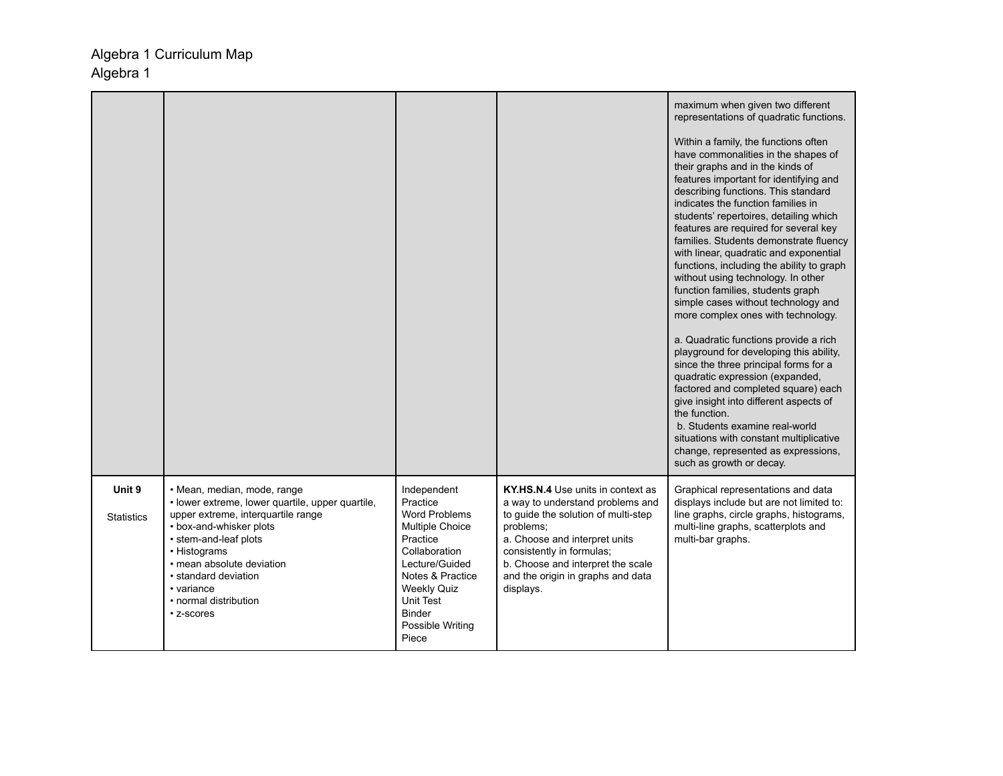|                             |                                                                                                                                                                                                                                                                                                     |                                                                                                                                                                                                                               |                                                                                                                                                                                                                                                                                | maximum when given two different<br>representations of quadratic functions.<br>Within a family, the functions often<br>have commonalities in the shapes of<br>their graphs and in the kinds of<br>features important for identifying and<br>describing functions. This standard<br>indicates the function families in<br>students' repertoires, detailing which<br>features are required for several key<br>families. Students demonstrate fluency<br>with linear, quadratic and exponential<br>functions, including the ability to graph<br>without using technology. In other<br>function families, students graph<br>simple cases without technology and<br>more complex ones with technology.<br>a. Quadratic functions provide a rich<br>playground for developing this ability,<br>since the three principal forms for a<br>quadratic expression (expanded,<br>factored and completed square) each<br>give insight into different aspects of<br>the function.<br>b. Students examine real-world<br>situations with constant multiplicative<br>change, represented as expressions,<br>such as growth or decay. |
|-----------------------------|-----------------------------------------------------------------------------------------------------------------------------------------------------------------------------------------------------------------------------------------------------------------------------------------------------|-------------------------------------------------------------------------------------------------------------------------------------------------------------------------------------------------------------------------------|--------------------------------------------------------------------------------------------------------------------------------------------------------------------------------------------------------------------------------------------------------------------------------|---------------------------------------------------------------------------------------------------------------------------------------------------------------------------------------------------------------------------------------------------------------------------------------------------------------------------------------------------------------------------------------------------------------------------------------------------------------------------------------------------------------------------------------------------------------------------------------------------------------------------------------------------------------------------------------------------------------------------------------------------------------------------------------------------------------------------------------------------------------------------------------------------------------------------------------------------------------------------------------------------------------------------------------------------------------------------------------------------------------------|
| Unit 9<br><b>Statistics</b> | • Mean, median, mode, range<br>• lower extreme, lower quartile, upper quartile,<br>upper extreme, interquartile range<br>• box-and-whisker plots<br>• stem-and-leaf plots<br>• Histograms<br>• mean absolute deviation<br>• standard deviation<br>• variance<br>• normal distribution<br>• z-scores | Independent<br>Practice<br><b>Word Problems</b><br>Multiple Choice<br>Practice<br>Collaboration<br>Lecture/Guided<br>Notes & Practice<br><b>Weekly Quiz</b><br><b>Unit Test</b><br><b>Binder</b><br>Possible Writing<br>Piece | KY.HS.N.4 Use units in context as<br>a way to understand problems and<br>to guide the solution of multi-step<br>problems;<br>a. Choose and interpret units<br>consistently in formulas;<br>b. Choose and interpret the scale<br>and the origin in graphs and data<br>displays. | Graphical representations and data<br>displays include but are not limited to:<br>line graphs, circle graphs, histograms,<br>multi-line graphs, scatterplots and<br>multi-bar graphs.                                                                                                                                                                                                                                                                                                                                                                                                                                                                                                                                                                                                                                                                                                                                                                                                                                                                                                                               |